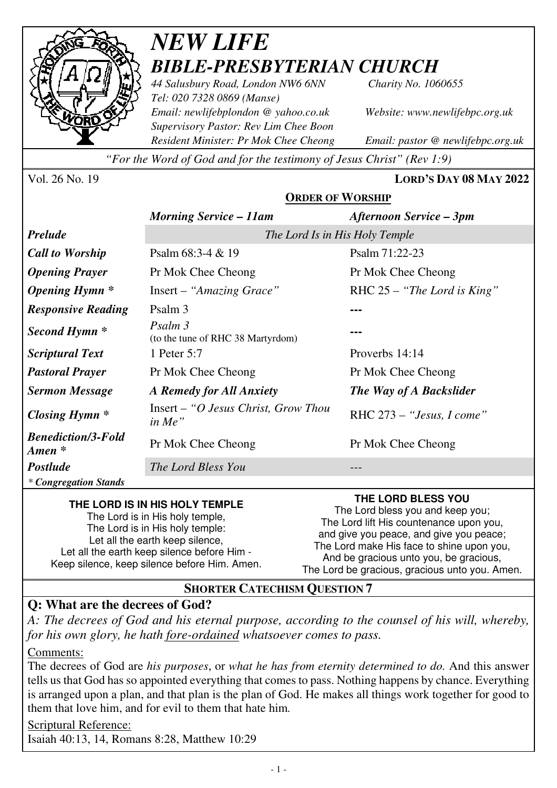

# *NEW LIFE BIBLE-PRESBYTERIAN CHURCH*

*44 Salusbury Road, London NW6 6NN Charity No. 1060655 Tel: 020 7328 0869 (Manse) Email: newlifebplondon @ yahoo.co.uk Website: www.newlifebpc.org.uk Supervisory Pastor: Rev Lim Chee Boon Resident Minister: Pr Mok Chee Cheong Email: pastor @ newlifebpc.org.uk* 

*"For the Word of God and for the testimony of Jesus Christ" (Rev 1:9)*

Vol. 26 No. 19 **LORD'S DAY 08 MAY 2022**

|                                                 | <b>ORDER OF WORSHIP</b>                              |                                |
|-------------------------------------------------|------------------------------------------------------|--------------------------------|
|                                                 | <b>Morning Service – 11am</b>                        | Afternoon Service – 3pm        |
| <b>Prelude</b>                                  | The Lord Is in His Holy Temple                       |                                |
| <b>Call to Worship</b>                          | Psalm $68:3-4 & 19$                                  | Psalm 71:22-23                 |
| <b>Opening Prayer</b>                           | Pr Mok Chee Cheong                                   | Pr Mok Chee Cheong             |
| <b>Opening Hymn</b> *                           | Insert – "Amazing Grace"                             | RHC $25 -$ "The Lord is King"  |
| <b>Responsive Reading</b>                       | Psalm 3                                              |                                |
| Second Hymn <sup>*</sup>                        | Psalm 3<br>(to the tune of RHC 38 Martyrdom)         |                                |
| <b>Scriptural Text</b>                          | 1 Peter 5:7                                          | Proverbs 14:14                 |
| <b>Pastoral Prayer</b>                          | Pr Mok Chee Cheong                                   | Pr Mok Chee Cheong             |
| <b>Sermon Message</b>                           | A Remedy for All Anxiety                             | <b>The Way of A Backslider</b> |
| Closing Hymn $*$                                | $Insert - "O Jesus Christ, Growth, How$<br>$in Me$ " | RHC $273 -$ "Jesus, I come"    |
| <b>Benediction/3-Fold</b><br>$A$ <i>men</i> $*$ | Pr Mok Chee Cheong                                   | Pr Mok Chee Cheong             |
| <b>Postlude</b>                                 | The Lord Bless You                                   |                                |
| * Congregation Stands                           |                                                      |                                |

#### **THE LORD IS IN HIS HOLY TEMPLE**

The Lord is in His holy temple, The Lord is in His holy temple: Let all the earth keep silence, Let all the earth keep silence before Him - Keep silence, keep silence before Him. Amen. **THE LORD BLESS YOU** 

The Lord bless you and keep you; The Lord lift His countenance upon you, and give you peace, and give you peace; The Lord make His face to shine upon you, And be gracious unto you, be gracious, The Lord be gracious, gracious unto you. Amen.

### **SHORTER CATECHISM QUESTION 7**

## **Q: What are the decrees of God?**

*A: The decrees of God and his eternal purpose, according to the counsel of his will, whereby, for his own glory, he hath fore-ordained whatsoever comes to pass.* 

Comments:

The decrees of God are *his purposes*, or *what he has from eternity determined to do.* And this answer tells us that God has so appointed everything that comes to pass. Nothing happens by chance. Everything is arranged upon a plan, and that plan is the plan of God. He makes all things work together for good to them that love him, and for evil to them that hate him*.*

Scriptural Reference: Isaiah 40:13, 14, Romans 8:28, Matthew 10:29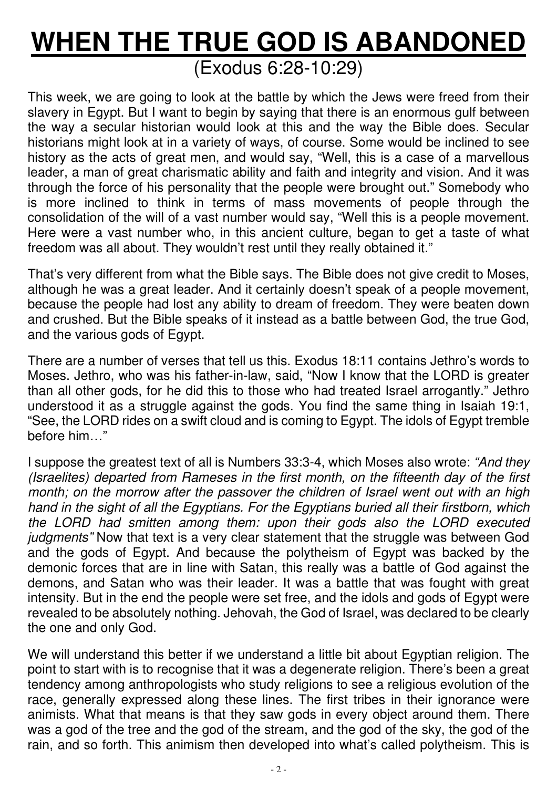# **WHEN THE TRUE GOD IS ABANDONED** (Exodus 6:28-10:29)

This week, we are going to look at the battle by which the Jews were freed from their slavery in Egypt. But I want to begin by saying that there is an enormous gulf between the way a secular historian would look at this and the way the Bible does. Secular historians might look at in a variety of ways, of course. Some would be inclined to see history as the acts of great men, and would say, "Well, this is a case of a marvellous leader, a man of great charismatic ability and faith and integrity and vision. And it was through the force of his personality that the people were brought out." Somebody who is more inclined to think in terms of mass movements of people through the consolidation of the will of a vast number would say, "Well this is a people movement. Here were a vast number who, in this ancient culture, began to get a taste of what freedom was all about. They wouldn't rest until they really obtained it."

That's very different from what the Bible says. The Bible does not give credit to Moses, although he was a great leader. And it certainly doesn't speak of a people movement, because the people had lost any ability to dream of freedom. They were beaten down and crushed. But the Bible speaks of it instead as a battle between God, the true God, and the various gods of Egypt.

There are a number of verses that tell us this. Exodus 18:11 contains Jethro's words to Moses. Jethro, who was his father-in-law, said, "Now I know that the LORD is greater than all other gods, for he did this to those who had treated Israel arrogantly." Jethro understood it as a struggle against the gods. You find the same thing in Isaiah 19:1, "See, the LORD rides on a swift cloud and is coming to Egypt. The idols of Egypt tremble before him…"

I suppose the greatest text of all is Numbers 33:3-4, which Moses also wrote: *"And they (Israelites) departed from Rameses in the first month, on the fifteenth day of the first month; on the morrow after the passover the children of Israel went out with an high hand in the sight of all the Egyptians. For the Egyptians buried all their firstborn, which the LORD had smitten among them: upon their gods also the LORD executed judgments"* Now that text is a very clear statement that the struggle was between God and the gods of Egypt. And because the polytheism of Egypt was backed by the demonic forces that are in line with Satan, this really was a battle of God against the demons, and Satan who was their leader. It was a battle that was fought with great intensity. But in the end the people were set free, and the idols and gods of Egypt were revealed to be absolutely nothing. Jehovah, the God of Israel, was declared to be clearly the one and only God.

We will understand this better if we understand a little bit about Egyptian religion. The point to start with is to recognise that it was a degenerate religion. There's been a great tendency among anthropologists who study religions to see a religious evolution of the race, generally expressed along these lines. The first tribes in their ignorance were animists. What that means is that they saw gods in every object around them. There was a god of the tree and the god of the stream, and the god of the sky, the god of the rain, and so forth. This animism then developed into what's called polytheism. This is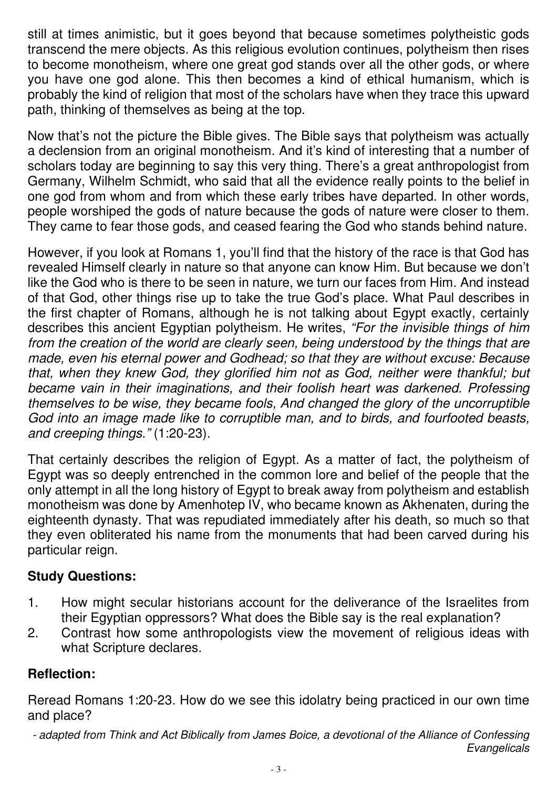still at times animistic, but it goes beyond that because sometimes polytheistic gods transcend the mere objects. As this religious evolution continues, polytheism then rises to become monotheism, where one great god stands over all the other gods, or where you have one god alone. This then becomes a kind of ethical humanism, which is probably the kind of religion that most of the scholars have when they trace this upward path, thinking of themselves as being at the top.

Now that's not the picture the Bible gives. The Bible says that polytheism was actually a declension from an original monotheism. And it's kind of interesting that a number of scholars today are beginning to say this very thing. There's a great anthropologist from Germany, Wilhelm Schmidt, who said that all the evidence really points to the belief in one god from whom and from which these early tribes have departed. In other words, people worshiped the gods of nature because the gods of nature were closer to them. They came to fear those gods, and ceased fearing the God who stands behind nature.

However, if you look at Romans 1, you'll find that the history of the race is that God has revealed Himself clearly in nature so that anyone can know Him. But because we don't like the God who is there to be seen in nature, we turn our faces from Him. And instead of that God, other things rise up to take the true God's place. What Paul describes in the first chapter of Romans, although he is not talking about Egypt exactly, certainly describes this ancient Egyptian polytheism. He writes, *"For the invisible things of him from the creation of the world are clearly seen, being understood by the things that are made, even his eternal power and Godhead; so that they are without excuse: Because that, when they knew God, they glorified him not as God, neither were thankful; but became vain in their imaginations, and their foolish heart was darkened. Professing themselves to be wise, they became fools, And changed the glory of the uncorruptible God into an image made like to corruptible man, and to birds, and fourfooted beasts, and creeping things."* (1:20-23).

That certainly describes the religion of Egypt. As a matter of fact, the polytheism of Egypt was so deeply entrenched in the common lore and belief of the people that the only attempt in all the long history of Egypt to break away from polytheism and establish monotheism was done by Amenhotep IV, who became known as Akhenaten, during the eighteenth dynasty. That was repudiated immediately after his death, so much so that they even obliterated his name from the monuments that had been carved during his particular reign.

### **Study Questions:**

- 1. How might secular historians account for the deliverance of the Israelites from their Egyptian oppressors? What does the Bible say is the real explanation?
- 2. Contrast how some anthropologists view the movement of religious ideas with what Scripture declares.

### **Reflection:**

Reread Romans 1:20-23. How do we see this idolatry being practiced in our own time and place?

*- adapted from Think and Act Biblically from James Boice, a devotional of the Alliance of Confessing Evangelicals*